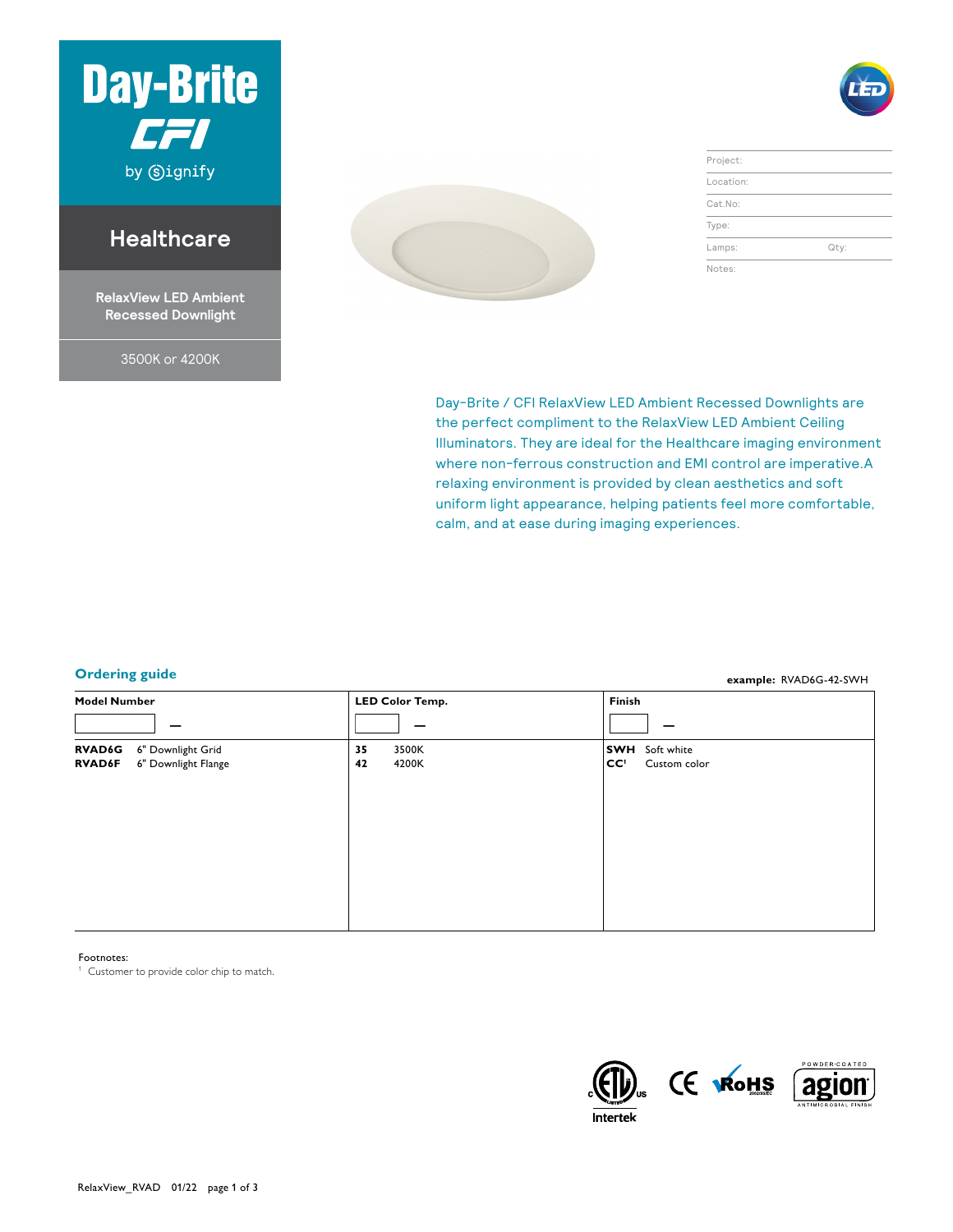

# **Healthcare**

**RelaxView LED Ambient Recessed Downlight**

3500K or 4200K



| Project:  |      |
|-----------|------|
| Location: |      |
| Cat.No:   |      |
| Type:     |      |
| Lamps:    | Qty: |
| Notes:    |      |

**example:** RVAD6G-42-SWH

Day-Brite / CFI RelaxView LED Ambient Recessed Downlights are the perfect compliment to the RelaxView LED Ambient Ceiling Illuminators. They are ideal for the Healthcare imaging environment where non-ferrous construction and EMI control are imperative.A relaxing environment is provided by clean aesthetics and soft uniform light appearance, helping patients feel more comfortable, calm, and at ease during imaging experiences.

## **Ordering guide**

**Model Number LED Color Temp. Finish — — — RVAD6G** 6" Downlight Grid<br>**RVAD6F** 6" Downlight Flang **6"** Downlight Flange **35** 3500K **42** 4200K **SWH** Soft white<br>**CC<sup>1</sup>** Custom co Custom color

Footnotes:

<sup>1</sup> Customer to provide color chip to match.



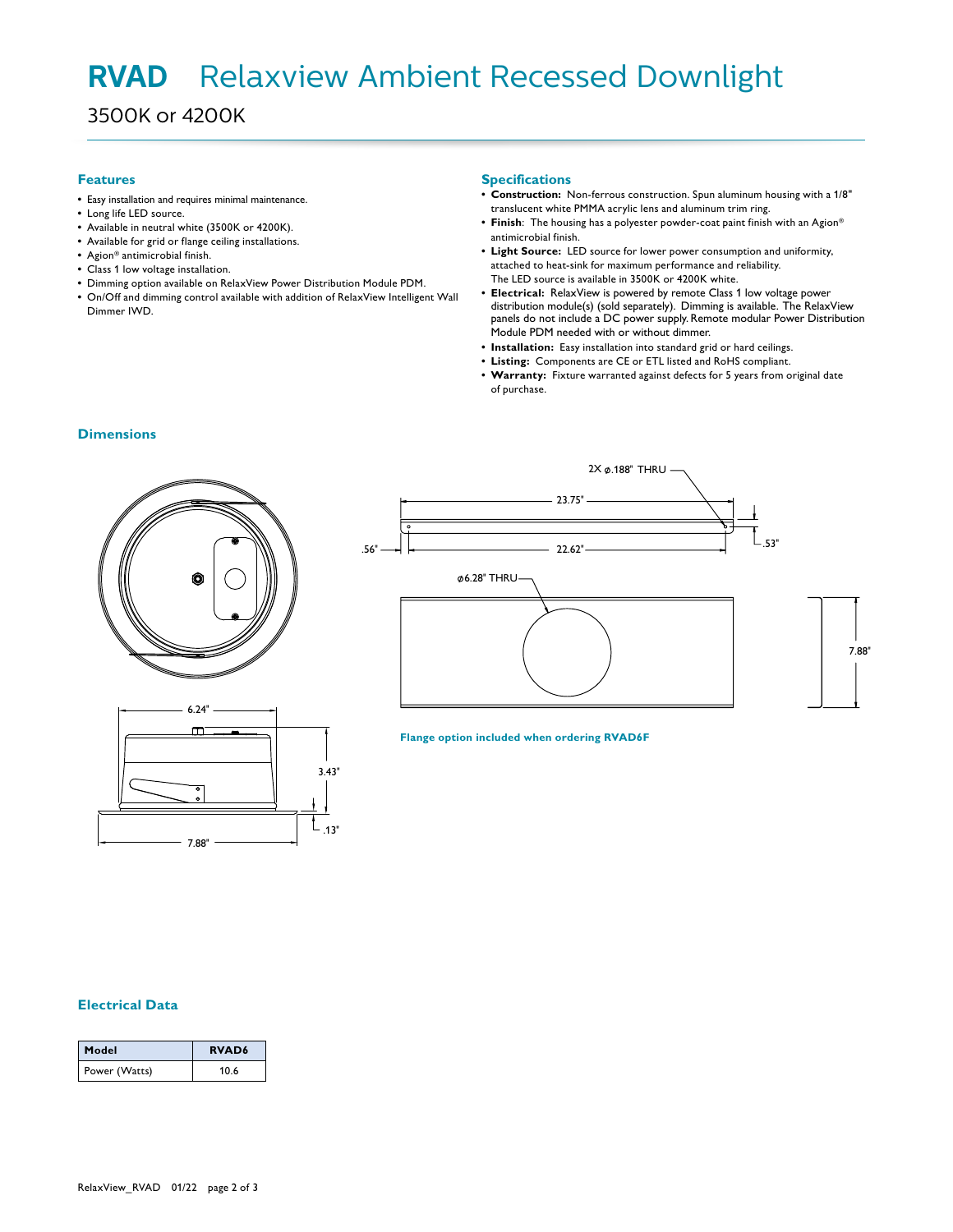## Red Downli LED DOWNLIGHT **RVAD** Relaxview Ambient Recessed Downlight

3500K or 4200K

#### **Features**

- **•** Easy installation and requires minimal maintenance.
- **•** Long life LED source.
- **•** Available in neutral white (3500K or 4200K).
- **•** Available for grid or flange ceiling installations.
- **•** Agion® antimicrobial finish.
- **•** Class 1 low voltage installation.
- **•** Dimming option available on RelaxView Power Distribution Module PDM.
- **•** On/Off and dimming control available with addition of RelaxView Intelligent Wall Dimmer IWD.

#### **Specifications**

- **• Construction:** Non-ferrous construction. Spun aluminum housing with a 1/8" translucent white PMMA acrylic lens and aluminum trim ring.
- **• Finish**: The housing has a polyester powder-coat paint finish with an Agion® antimicrobial finish.
- **• Light Source:** LED source for lower power consumption and uniformity, attached to heat-sink for maximum performance and reliability. The LED source is available in 3500K or 4200K white.
- **• Electrical:** RelaxView is powered by remote Class 1 low voltage power distribution module(s) (sold separately). Dimming is available. The RelaxView panels do not include a DC power supply. Remote modular Power Distribution Module PDM needed with or without dimmer.
- **• Installation:** Easy installation into standard grid or hard ceilings.
- **• Listing:** Components are CE or ETL listed and RoHS compliant.
- **• Warranty:** Fixture warranted against defects for 5 years from original date of purchase.

#### **Dimensions**







#### **Flange option included when ordering RVAD6F**

## **Electrical Data**

| Model         | <b>RVAD6</b> |
|---------------|--------------|
| Power (Watts) | 10.6         |